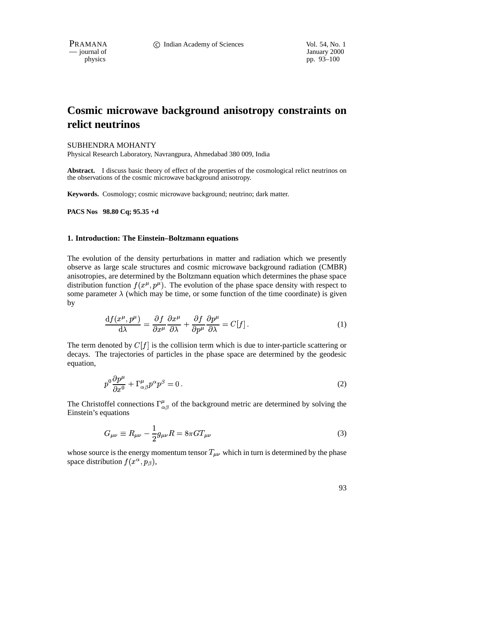— journal of January 2000

pp. 93–100

# **Cosmic microwave background anisotropy constraints on relict neutrinos**

## SUBHENDRA MOHANTY

Physical Research Laboratory, Navrangpura, Ahmedabad 380 009, India

**Abstract.** I discuss basic theory of effect of the properties of the cosmological relict neutrinos on the observations of the cosmic microwave background anisotropy.

**Keywords.** Cosmology; cosmic microwave background; neutrino; dark matter.

**PACS Nos 98.80 Cq; 95.35 +d**

#### **1. Introduction: The Einstein–Boltzmann equations**

The evolution of the density perturbations in matter and radiation which we presently observe as large scale structures and cosmic microwave background radiation (CMBR) anisotropies, are determined by the Boltzmann equation which determines the phase space distribution function  $f(x^{\mu}, p^{\mu})$ . The evolution of the phase space density with respect to some parameter  $\lambda$  (which may be time, or some function of the time coordinate) is given by

$$
\frac{\mathrm{d}f(x^{\mu},p^{\mu})}{\mathrm{d}\lambda} = \frac{\partial f}{\partial x^{\mu}}\frac{\partial x^{\mu}}{\partial \lambda} + \frac{\partial f}{\partial p^{\mu}}\frac{\partial p^{\mu}}{\partial \lambda} = C[f].\tag{1}
$$

The term denoted by  $C[f]$  is the collision term which is due to inter-particle scattering or decays. The trajectories of particles in the phase space are determined by the geodesic equation,

$$
p^{0}\frac{\partial p^{\mu}}{\partial x^{0}} + \Gamma^{\mu}_{\alpha\beta}p^{\alpha}p^{\beta} = 0.
$$
 (2)

The Christoffel connections  $\Gamma^{\mu}_{\alpha\beta}$  of the background metric are determined by solving the Einstein's equations

$$
G_{\mu\nu} \equiv R_{\mu\nu} - \frac{1}{2}g_{\mu\nu}R = 8\pi GT_{\mu\nu}
$$
 (3)

whose source is the energy momentum tensor  $T_{\mu\nu}$  which in turn is determined by the phase space distribution  $f(x^{\alpha}, p_{\beta})$ ,

93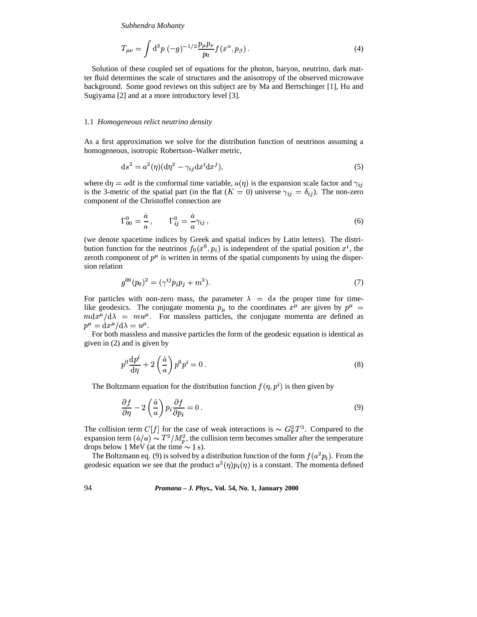*Subhendra Mohanty*

$$
T_{\mu\nu} = \int d^3p \, (-g)^{-1/2} \frac{p_\mu p_\nu}{p_0} f(x^\alpha, p_\beta) \,. \tag{4}
$$

Solution of these coupled set of equations for the photon, baryon, neutrino, dark matter fluid determines the scale of structures and the anisotropy of the observed microwave background. Some good reviews on this subject are by Ma and Bertschinger [1], Hu and Sugiyama [2] and at a more introductory level [3].

#### 1.1 *Homogeneous relict neutrino density*

As a first approximation we solve for the distribution function of neutrinos assuming a homogeneous, isotropic Robertson–Walker metric,

$$
ds^2 = a^2(\eta)(d\eta^2 - \gamma_{ij}dx^i dx^j),\tag{5}
$$

where  $d\eta = a dt$  is the conformal time variable,  $a(\eta)$  is the expansion scale factor and is the 3-metric of the spatial part (in the flat  $(K = 0)$  universe  $\gamma_{ij} = \delta_{ij}$ ). The non-zero component of the Christoffel connection are

$$
\Gamma_{00}^{0} = \frac{\dot{a}}{a}, \qquad \Gamma_{ij}^{0} = \frac{\dot{a}}{a} \gamma_{ij}, \qquad (6)
$$

(we denote spacetime indices by Greek and spatial indices by Latin letters). The distribution function for the neutrinos  $f_0(x^0, p_i)$  is independent of the spatial position  $x^i$ , the zeroth component of  $p^{\mu}$  is written in terms of the spatial components by using the dispersion relation

$$
g^{00}(p_0)^2 = (\gamma^{ij} p_i p_j + m^2). \tag{7}
$$

For particles with non-zero mass, the parameter  $\lambda = ds$  the proper time for timelike geodesics. The conjugate momenta  $p_{\mu}$  to the coordinates  $x^{\mu}$  are given by  $p^{\mu}$  =  $m dx^{\mu}/d\lambda = m u^{\mu}$ . For massless particles, the conjugate momenta are defined as  $p^{\mu} = \mathrm{d} x^{\mu}/\mathrm{d} \lambda = u^{\mu}$ .

 For both massless and massive particles the form of the geodesic equation is identical as given in (2) and is given by

$$
p^{0} \frac{\mathrm{d}p^{i}}{\mathrm{d}\eta} + 2\left(\frac{\dot{a}}{a}\right) p^{0} p^{i} = 0.
$$
 (8)

The Boltzmann equation for the distribution function  $f(\eta, p^i)$  is then given by

$$
\frac{\partial f}{\partial \eta} - 2\left(\frac{\dot{a}}{a}\right) p_i \frac{\partial f}{\partial p_i} = 0.
$$
\n(9)

The collision term  $C[f]$  for the case of weak interactions is  $\sim G_F^2 T^5$ . Compared to the expansion term  $(\dot{a}/a) \sim T^2/M_p^2$ , the collision term becomes smaller after the temperature drops below 1 MeV (at the time  $\sim 1$  s).

The Boltzmann eq. (9) is solved by a distribution function of the form  $f(a^2p_i)$ . From the The Boltzmann eq. (9) is solved by a distribution function of the form  $f(a^2p_i)$ . From the geodesic equation we see that the product  $a^2(\eta)p_i(\eta)$  is a constant. The momenta defined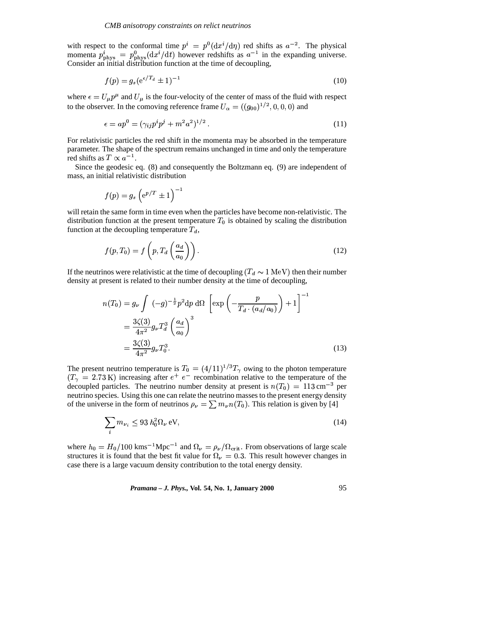with respect to the conformal time  $p^i = p^0(\text{d}x^i/\text{d}\eta)$  red shifts as  $a^{-2}$ . The physical<br>measures  $\eta^i$  .  $\eta^0$  (duited) however additionally in the expanding universe momenta  $p_{\text{phys}}^i = p_{\text{phys}}^0(\text{d}x^i/\text{d}t)$  however redshifts as  $a^{-1}$  in the expanding universe. Consider an initial distribution function at the time of decoupling,

$$
f(p) = g_s(e^{\epsilon/T_d} \pm 1)^{-1}
$$
 (10)

where  $\epsilon = U_{\mu} p^{\mu}$  and  $U_{\mu}$  is the four-velocity of the center of mass of the fluid with respect to the observer. In the comoving reference frame  $U_{\alpha} = ((g_{00})^{1/2}, 0, 0, 0)$  and

$$
\epsilon = ap^0 = (\gamma_{ij} p^i p^j + m^2 a^2)^{1/2} \,. \tag{11}
$$

For relativistic particles the red shift in the momenta may be absorbed in the temperature parameter. The shape of the spectrum remains unchanged in time and only the temperature red shifts as  $T \propto a^{-1}$ .

Since the geodesic eq. (8) and consequently the Boltzmann eq. (9) are independent of mass, an initial relativistic distribution

$$
f(p)=g_s\left(\mathrm{e}^{p/T}\pm 1\right)^{-1}
$$

will retain the same form in time even when the particles have become non-relativistic. The distribution function at the present temperature  $T_0$  is obtained by scaling the distribution function at the decoupling temperature  $T_d$ ,

$$
f(p,T_0) = f\left(p, T_d\left(\frac{a_d}{a_0}\right)\right). \tag{12}
$$

If the neutrinos were relativistic at the time of decoupling  $(T_d \sim 1 \text{ MeV})$  then their number density at present is related to their number density at the time of decoupling,

$$
n(T_0) = g_{\nu} \int (-g)^{-\frac{1}{2}} p^2 dp \, d\Omega \left[ exp\left(-\frac{p}{T_d \cdot (a_d/a_0)}\right) + 1\right]^{-1}
$$
  
= 
$$
\frac{3\zeta(3)}{4\pi^2} g_{\nu} T_d^3 \left(\frac{a_d}{a_0}\right)^3
$$
  
= 
$$
\frac{3\zeta(3)}{4\pi^2} g_{\nu} T_0^3.
$$
 (13)

The present neutrino temperature is  $T_0 = (4/11)^{1/3}T_\gamma$  owing to the photon temperature  $(T_{\gamma} = 2.73 \text{ K})$  increasing after  $e^{+} e^{-}$  recombination r  $(T_{\gamma} = 2.73 \text{ K})$  increasing after  $e^{+} e^{-}$  recombination relative to the temperature of the decoupled particles. The neutrino number density at present is  $n(T_0) = 113 \text{ cm}^{-3}$  per neutrino species. Using this one can relate the neutrino masses to the present energy density of the universe in the form of neutrinos  $\rho_{\nu} = \sum m_{\nu} n(T_0)$ . This relation is given by [4]

$$
\sum_{i} m_{\nu_i} \le 93 h_0^2 \Omega_{\nu} \,\mathrm{eV},\tag{14}
$$

where  $h_0 = H_0/100 \text{ km s}^{-1} \text{ Mpc}^{-1}$  and  $\Omega_{\nu} = \rho_{\nu}/\Omega_{\text{crit}}$ . From observations of large scale structures it is found that the best fit value for  $\Omega_{\nu} = 0.3$ . This result however changes in case there is a large vacuum density contribution to the total energy density.

*Pramana – J. Phys.,* **Vol. 54, No. 1, January 2000** 95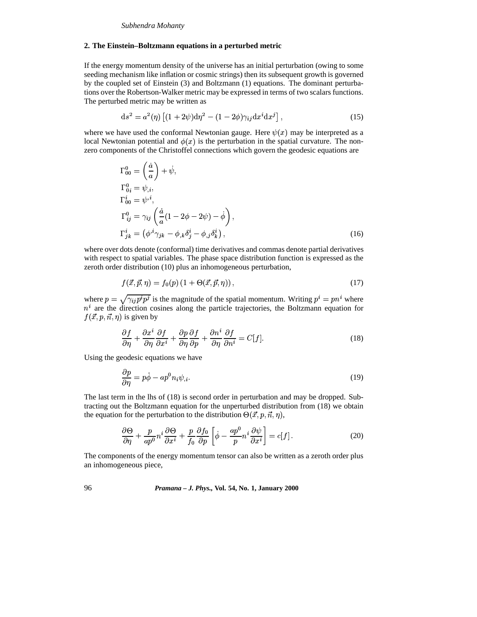### *Subhendra Mohanty*

### **2. The Einstein–Boltzmann equations in a perturbed metric**

If the energy momentum density of the universe has an initial perturbation (owing to some seeding mechanism like inflation or cosmic strings) then its subsequent growth is governed by the coupled set of Einstein (3) and Boltzmann (1) equations. The dominant perturbations over the Robertson-Walker metric may be expressed in terms of two scalars functions. The perturbed metric may be written as

$$
ds^{2} = a^{2}(\eta) \left[ (1 + 2\psi) d\eta^{2} - (1 - 2\phi)\gamma_{ij} dx^{i} dx^{j} \right],
$$
 (15)

where we have used the conformal Newtonian gauge. Here  $\psi(x)$  may be interpreted as a local Newtonian potential and  $\phi(x)$  is the perturbation in the spatial curvature. The nonzero components of the Christoffel connections which govern the geodesic equations are

$$
\Gamma_{00}^{0} = \left(\frac{\dot{a}}{a}\right) + \dot{\psi},
$$
\n
$$
\Gamma_{0i}^{0} = \psi_{,i},
$$
\n
$$
\Gamma_{00}^{i} = \psi^{,i},
$$
\n
$$
\Gamma_{ij}^{0} = \gamma_{ij} \left(\frac{\dot{a}}{a}(1 - 2\phi - 2\psi) - \dot{\phi}\right),
$$
\n
$$
\Gamma_{jk}^{i} = \left(\phi^{,i}\gamma_{jk} - \phi_{,k}\delta_{j}^{i} - \phi_{,j}\delta_{k}^{i}\right),
$$
\n(16)

where over dots denote (conformal) time derivatives and commas denote partial derivatives with respect to spatial variables. The phase space distribution function is expressed as the zeroth order distribution (10) plus an inhomogeneous perturbation,

$$
f(\vec{x}, \vec{p}, \eta) = f_0(p) \left( 1 + \Theta(\vec{x}, \vec{p}, \eta) \right), \tag{17}
$$

where  $p = \sqrt{\gamma_{ij} p^i p^j}$  is the magnitude of the spatial momentum. Writing  $p^i = p n^i$  where  $n^i$  are the direction cosines along the particle trajectories, the Boltzmann equation for  $f(\vec{x}, p, \vec{n}, \eta)$  is given by

$$
\frac{\partial f}{\partial \eta} + \frac{\partial x^i}{\partial \eta} \frac{\partial f}{\partial x^i} + \frac{\partial p}{\partial \eta} \frac{\partial f}{\partial p} + \frac{\partial n^i}{\partial \eta} \frac{\partial f}{\partial n^i} = C[f].
$$
\n(18)

Using the geodesic equations we have

$$
\frac{\partial p}{\partial \eta} = p\dot{\phi} - ap^0 n_i \psi_{,i}.
$$
\n(19)

The last term in the lhs of (18) is second order in perturbation and may be dropped. Subtracting out the Boltzmann equation for the unperturbed distribution from (18) we obtain the equation for the perturbation to the distribution  $\Theta(\vec{x}, p, \vec{n}, \eta)$ ,

$$
\frac{\partial \Theta}{\partial \eta} + \frac{p}{ap^0} n^i \frac{\partial \Theta}{\partial x^i} + \frac{p}{f_0} \frac{\partial f_0}{\partial p} \left[ \dot{\phi} - \frac{ap^0}{p} n^i \frac{\partial \psi}{\partial x^i} \right] = c[f]. \tag{20}
$$

The components of the energy momentum tensor can also be written as a zeroth order plus an inhomogeneous piece,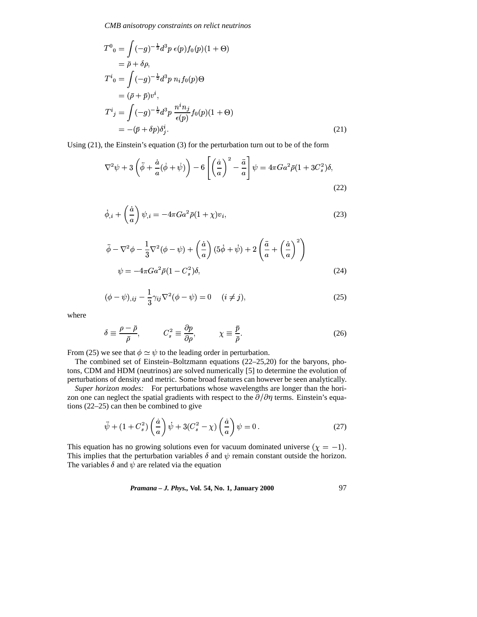CMB anisotropy constraints on relict neutrinos

$$
T^{0}{}_{0} = \int (-g)^{-\frac{1}{2}} d^{3}p \epsilon(p) f_{0}(p) (1 + \Theta)
$$
  
\n
$$
= \bar{\rho} + \delta \rho,
$$
  
\n
$$
T^{i}{}_{0} = \int (-g)^{-\frac{1}{2}} d^{3}p \ n_{i} f_{0}(p) \Theta
$$
  
\n
$$
= (\bar{\rho} + \bar{p}) v^{i},
$$
  
\n
$$
T^{i}{}_{j} = \int (-g)^{-\frac{1}{2}} d^{3}p \ \frac{n^{i} n_{j}}{\epsilon(p)} f_{0}(p) (1 + \Theta)
$$
  
\n
$$
= -(\bar{p} + \delta p) \delta^{i}_{j}.
$$
\n(21)

Using  $(21)$ , the Einstein's equation  $(3)$  for the perturbation turn out to be of the form

$$
\nabla^2 \psi + 3 \left( \ddot{\phi} + \frac{\dot{a}}{a} (\dot{\phi} + \dot{\psi}) \right) - 6 \left[ \left( \frac{\dot{a}}{a} \right)^2 - \frac{\ddot{a}}{a} \right] \psi = 4\pi G a^2 \bar{\rho} (1 + 3C_s^2) \delta,
$$
\n(22)

$$
\dot{\phi}_{,i} + \left(\frac{\dot{a}}{a}\right)\psi_{,i} = -4\pi Ga^2\bar{\rho}(1+\chi)v_i,
$$
\n(23)

$$
\ddot{\phi} - \nabla^2 \phi - \frac{1}{3} \nabla^2 (\phi - \psi) + \left(\frac{\dot{a}}{a}\right) (5\dot{\phi} + \dot{\psi}) + 2\left(\frac{\ddot{a}}{a} + \left(\frac{\dot{a}}{a}\right)^2\right)
$$
  

$$
\psi = -4\pi G a^2 \bar{\rho} (1 - C_s^2) \delta,
$$
 (24)

$$
(\phi - \psi)_{,ij} - \frac{1}{3} \gamma_{ij} \nabla^2 (\phi - \psi) = 0 \quad (i \neq j), \tag{25}
$$

where

$$
\delta \equiv \frac{\rho - \bar{\rho}}{\bar{\rho}}, \qquad C_s^2 \equiv \frac{\partial p}{\partial \rho}, \qquad \chi \equiv \frac{\bar{p}}{\bar{\rho}}.
$$
 (26)

From (25) we see that  $\phi \simeq \psi$  to the leading order in perturbation.

The combined set of Einstein-Boltzmann equations (22-25,20) for the baryons, photons, CDM and HDM (neutrinos) are solved numerically [5] to determine the evolution of perturbations of density and metric. Some broad features can however be seen analytically.

Super horizon modes: For perturbations whose wavelengths are longer than the horizon one can neglect the spatial gradients with respect to the  $\partial/\partial \eta$  terms. Einstein's equations  $(22-25)$  can then be combined to give

$$
\ddot{\psi} + (1 + C_s^2) \left(\frac{\dot{a}}{a}\right) \dot{\psi} + 3(C_s^2 - \chi) \left(\frac{\dot{a}}{a}\right) \psi = 0. \tag{27}
$$

This equation has no growing solutions even for vacuum dominated universe  $(\chi = -1)$ . This implies that the perturbation variables  $\delta$  and  $\psi$  remain constant outside the horizon. The variables  $\delta$  and  $\psi$  are related via the equation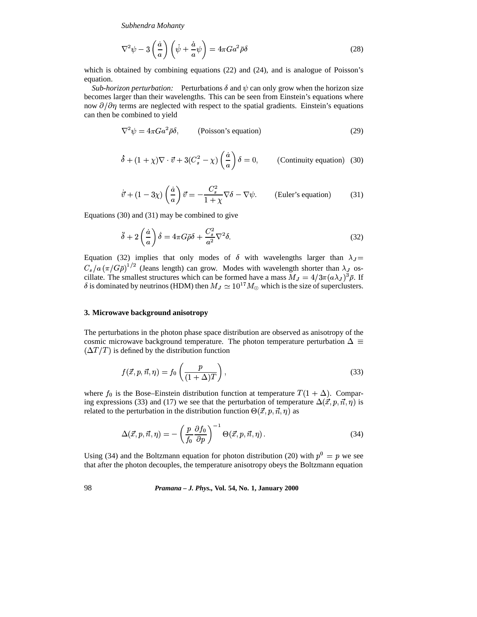*Subhendra Mohanty*

$$
\nabla^2 \psi - 3\left(\frac{\dot{a}}{a}\right)\left(\dot{\psi} + \frac{\dot{a}}{a}\psi\right) = 4\pi G a^2 \bar{\rho}\delta\tag{28}
$$

which is obtained by combining equations (22) and (24), and is analogue of Poisson's equation.

*Sub-horizon perturbation:* Perturbations  $\delta$  and  $\psi$  can only grow when the horizon size becomes larger than their wavelengths. This can be seen from Einstein's equations where now  $\partial/\partial \eta$  terms are neglected with respect to the spatial gradients. Einstein's equations can then be combined to yield

$$
\nabla^2 \psi = 4\pi G a^2 \bar{\rho} \delta, \qquad \text{(Poisson's equation)} \tag{29}
$$

$$
\dot{\delta} + (1 + \chi)\nabla \cdot \vec{v} + 3(C_s^2 - \chi) \left(\frac{\dot{a}}{a}\right) \delta = 0, \qquad \text{(Continuity equation)} \tag{30}
$$

$$
\dot{\vec{v}} + (1 - 3\chi) \left(\frac{\dot{a}}{a}\right) \vec{v} = -\frac{C_s^2}{1 + \chi} \nabla \delta - \nabla \psi.
$$
 (Euler's equation) (31)

Equations (30) and (31) may be combined to give

$$
\ddot{\delta} + 2\left(\frac{\dot{a}}{a}\right)\dot{\delta} = 4\pi G\bar{\rho}\delta + \frac{C_s^2}{a^2}\nabla^2\delta. \tag{32}
$$

Equation (32) implies that only modes of  $\delta$  with wavelengths larger than  $\lambda_j =$  $C_s/a \left(\frac{\pi}{G\rho}\right)^{1/2}$  (Jeans length) can grow. Modes with wavelength shorter than  $\lambda_J$  oscillate. The smallest structures which can be formed have a mass  $M_J = 4/3\pi (a\lambda_J)^3 \bar{\rho}$ . If  $\delta$  is dominated by neutrinos (HDM) then  $M_J \simeq 10^{17} M_{\odot}$  which is the size of superclusters. is dominated by neutrinos (HDM) then  $M_J \simeq 10^{17} M_{\odot}$  which is the size of superclusters.

## **3. Microwave background anisotropy**

The perturbations in the photon phase space distribution are observed as anisotropy of the cosmic microwave background temperature. The photon temperature perturbation  $\Delta \equiv$  $(\Delta T/T)$  is defined by the distribution function

$$
f(\vec{x}, p, \vec{n}, \eta) = f_0\left(\frac{p}{(1 + \Delta)T}\right),\tag{33}
$$

where  $f_0$  is the Bose–Einstein distribution function at temperature  $T(1 + \Delta)$ . Comparing expressions (33) and (17) we see that the perturbation of temperature  $\Delta(\vec{x},p,\vec{n},\eta)$  is related to the perturbation in the distribution function  $\Theta(\vec{x}, p, \vec{n}, \eta)$  as

$$
\Delta(\vec{x}, p, \vec{n}, \eta) = -\left(\frac{p}{f_0} \frac{\partial f_0}{\partial p}\right)^{-1} \Theta(\vec{x}, p, \vec{n}, \eta) . \tag{34}
$$

Using (34) and the Boltzmann equation for photon distribution (20) with  $p^0 = p$  we see that after the photon decouples, the temperature anisotropy obeys the Boltzmann equation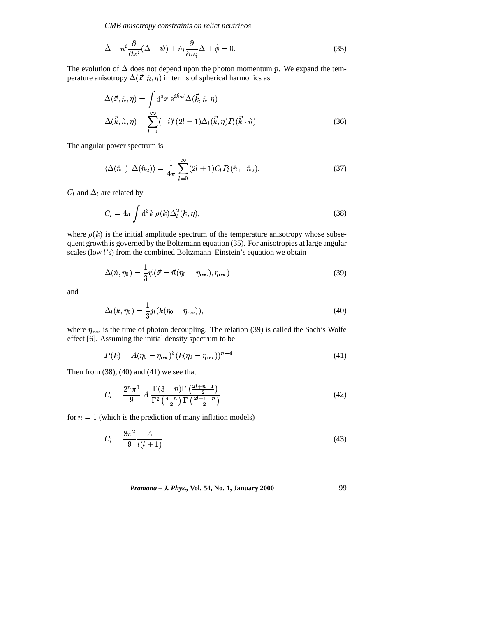CMB anisotropy constraints on relict neutrinos

$$
\dot{\Delta} + n^i \frac{\partial}{\partial x^i} (\Delta - \psi) + \dot{n}_i \frac{\partial}{\partial n_i} \Delta + \dot{\phi} = 0.
$$
 (35)

The evolution of  $\Delta$  does not depend upon the photon momentum p. We expand the temperature anisotropy  $\Delta(\vec{x}, \hat{n}, \eta)$  in terms of spherical harmonics as

$$
\Delta(\vec{x}, \hat{n}, \eta) = \int d^3x \ e^{i\vec{k}\cdot\vec{x}} \Delta(\vec{k}, \hat{n}, \eta)
$$

$$
\Delta(\vec{k}, \hat{n}, \eta) = \sum_{l=0}^{\infty} (-i)^l (2l+1) \Delta_l(\vec{k}, \eta) P_l(\vec{k}\cdot\hat{n}).
$$
(36)

The angular power spectrum is

$$
\langle \Delta(\hat{n}_1) \ \Delta(\hat{n}_2) \rangle = \frac{1}{4\pi} \sum_{l=0}^{\infty} (2l+1) C_l P_l(\hat{n}_1 \cdot \hat{n}_2). \tag{37}
$$

 $C_l$  and  $\Delta_l$  are related by

$$
C_l = 4\pi \int d^3k \; \rho(k) \Delta_l^2(k, \eta), \tag{38}
$$

where  $\rho(k)$  is the initial amplitude spectrum of the temperature anisotropy whose subsequent growth is governed by the Boltzmann equation (35). For anisotropies at large angular scales (low l's) from the combined Boltzmann-Einstein's equation we obtain

$$
\Delta(\hat{n}, \eta_0) = \frac{1}{3}\psi(\vec{x} = \vec{n}(\eta_0 - \eta_{\text{rec}}), \eta_{\text{rec}})
$$
\n(39)

and

$$
\Delta_l(k, \eta_0) = \frac{1}{3} j_l(k(\eta_0 - \eta_{\text{rec}})),
$$
\n(40)

where  $\eta_{\text{rec}}$  is the time of photon decoupling. The relation (39) is called the Sach's Wolfe effect [6]. Assuming the initial density spectrum to be

$$
P(k) = A(\eta_0 - \eta_{\text{rec}})^3 (k(\eta_0 - \eta_{\text{rec}}))^{n-4}.
$$
 (41)

Then from  $(38)$ ,  $(40)$  and  $(41)$  we see that

$$
C_l = \frac{2^n \pi^3}{9} A \frac{\Gamma(3-n)\Gamma\left(\frac{2l+n-1}{2}\right)}{\Gamma^2\left(\frac{4-n}{2}\right)\Gamma\left(\frac{2l+5-n}{2}\right)}\tag{42}
$$

for  $n = 1$  (which is the prediction of many inflation models)

$$
C_l = \frac{8\pi^2}{9} \frac{A}{l(l+1)}.
$$
\n(43)